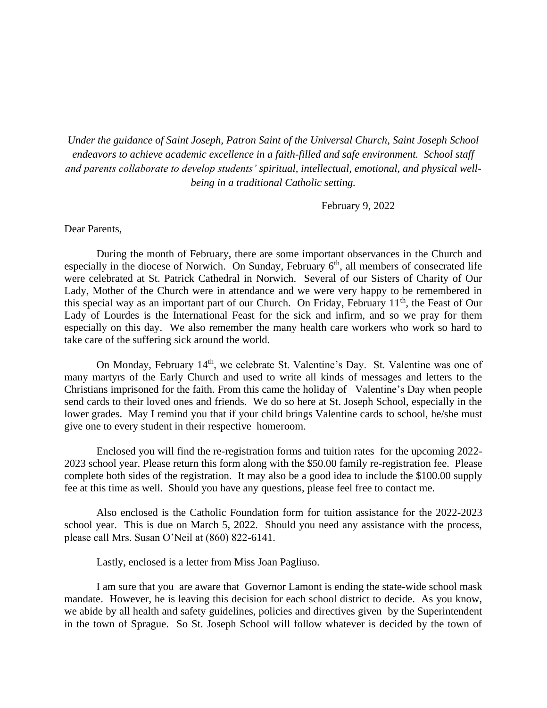*Under the guidance of Saint Joseph, Patron Saint of the Universal Church, Saint Joseph School endeavors to achieve academic excellence in a faith-filled and safe environment. School staff and parents collaborate to develop students' spiritual, intellectual, emotional, and physical wellbeing in a traditional Catholic setting.*

February 9, 2022

## Dear Parents,

During the month of February, there are some important observances in the Church and especially in the diocese of Norwich. On Sunday, February  $6<sup>th</sup>$ , all members of consecrated life were celebrated at St. Patrick Cathedral in Norwich. Several of our Sisters of Charity of Our Lady, Mother of the Church were in attendance and we were very happy to be remembered in this special way as an important part of our Church. On Friday, February  $11<sup>th</sup>$ , the Feast of Our Lady of Lourdes is the International Feast for the sick and infirm, and so we pray for them especially on this day. We also remember the many health care workers who work so hard to take care of the suffering sick around the world.

On Monday, February 14<sup>th</sup>, we celebrate St. Valentine's Day. St. Valentine was one of many martyrs of the Early Church and used to write all kinds of messages and letters to the Christians imprisoned for the faith. From this came the holiday of Valentine's Day when people send cards to their loved ones and friends. We do so here at St. Joseph School, especially in the lower grades. May I remind you that if your child brings Valentine cards to school, he/she must give one to every student in their respective homeroom.

Enclosed you will find the re-registration forms and tuition rates for the upcoming 2022- 2023 school year. Please return this form along with the \$50.00 family re-registration fee. Please complete both sides of the registration. It may also be a good idea to include the \$100.00 supply fee at this time as well. Should you have any questions, please feel free to contact me.

Also enclosed is the Catholic Foundation form for tuition assistance for the 2022-2023 school year. This is due on March 5, 2022. Should you need any assistance with the process, please call Mrs. Susan O'Neil at (860) 822-6141.

Lastly, enclosed is a letter from Miss Joan Pagliuso.

I am sure that you are aware that Governor Lamont is ending the state-wide school mask mandate. However, he is leaving this decision for each school district to decide. As you know, we abide by all health and safety guidelines, policies and directives given by the Superintendent in the town of Sprague. So St. Joseph School will follow whatever is decided by the town of